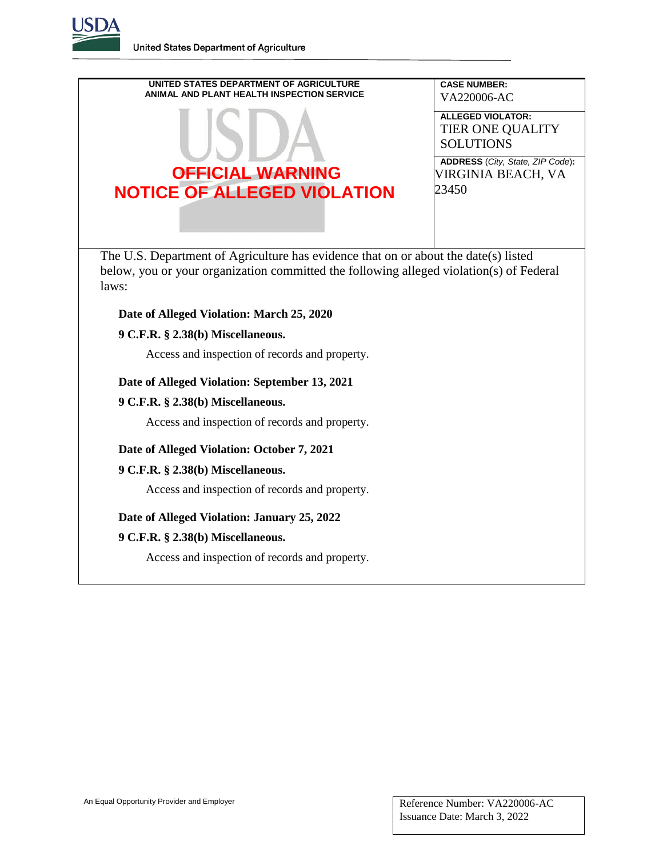**United States Department of Agriculture**